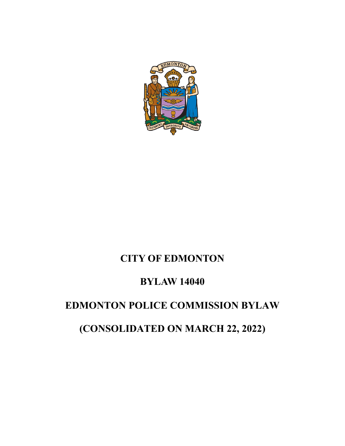

# **CITY OF EDMONTON**

## **BYLAW 14040**

## **EDMONTON POLICE COMMISSION BYLAW**

# **(CONSOLIDATED ON MARCH 22, 2022)**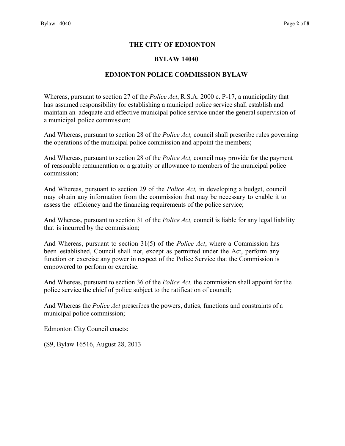### **THE CITY OF EDMONTON**

#### **BYLAW 14040**

### **EDMONTON POLICE COMMISSION BYLAW**

Whereas, pursuant to section 27 of the *Police Act*, R.S.A. 2000 c. P-17, a municipality that has assumed responsibility for establishing a municipal police service shall establish and maintain an adequate and effective municipal police service under the general supervision of a municipal police commission;

And Whereas, pursuant to section 28 of the *Police Act,* council shall prescribe rules governing the operations of the municipal police commission and appoint the members;

And Whereas, pursuant to section 28 of the *Police Act,* council may provide for the payment of reasonable remuneration or a gratuity or allowance to members of the municipal police commission;

And Whereas, pursuant to section 29 of the *Police Act,* in developing a budget, council may obtain any information from the commission that may be necessary to enable it to assess the efficiency and the financing requirements of the police service;

And Whereas, pursuant to section 31 of the *Police Act,* council is liable for any legal liability that is incurred by the commission;

And Whereas, pursuant to section 31(5) of the *Police Act*, where a Commission has been established, Council shall not, except as permitted under the Act, perform any function or exercise any power in respect of the Police Service that the Commission is empowered to perform or exercise.

And Whereas, pursuant to section 36 of the *Police Act,* the commission shall appoint for the police service the chief of police subject to the ratification of council;

And Whereas the *Police Act* prescribes the powers, duties, functions and constraints of a municipal police commission;

Edmonton City Council enacts:

(S9, Bylaw 16516, August 28, 2013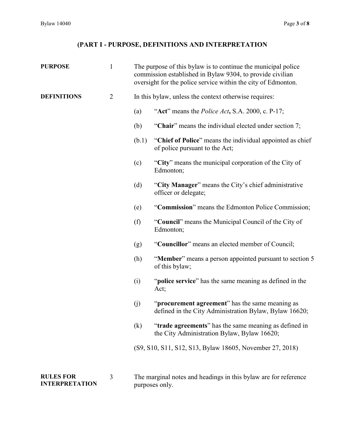## **(PART I - PURPOSE, DEFINITIONS AND INTERPRETATION**

| <b>PURPOSE</b>                            | $\mathbf{1}$   | The purpose of this bylaw is to continue the municipal police<br>commission established in Bylaw 9304, to provide civilian<br>oversight for the police service within the city of Edmonton. |                                                                                                           |  |
|-------------------------------------------|----------------|---------------------------------------------------------------------------------------------------------------------------------------------------------------------------------------------|-----------------------------------------------------------------------------------------------------------|--|
| <b>DEFINITIONS</b>                        | $\overline{2}$ | In this bylaw, unless the context otherwise requires:                                                                                                                                       |                                                                                                           |  |
|                                           |                | (a)                                                                                                                                                                                         | "Act" means the <i>Police Act</i> , S.A. 2000, c. P-17;                                                   |  |
|                                           |                | (b)                                                                                                                                                                                         | "Chair" means the individual elected under section 7;                                                     |  |
|                                           |                | (b.1)                                                                                                                                                                                       | "Chief of Police" means the individual appointed as chief<br>of police pursuant to the Act;               |  |
|                                           |                | (c)                                                                                                                                                                                         | "City" means the municipal corporation of the City of<br>Edmonton;                                        |  |
|                                           |                | (d)                                                                                                                                                                                         | "City Manager" means the City's chief administrative<br>officer or delegate;                              |  |
|                                           |                | (e)                                                                                                                                                                                         | "Commission" means the Edmonton Police Commission;                                                        |  |
|                                           |                | (f)                                                                                                                                                                                         | "Council" means the Municipal Council of the City of<br>Edmonton;                                         |  |
|                                           |                | (g)                                                                                                                                                                                         | "Councillor" means an elected member of Council;                                                          |  |
|                                           |                | (h)                                                                                                                                                                                         | "Member" means a person appointed pursuant to section 5<br>of this bylaw;                                 |  |
|                                           |                | (i)                                                                                                                                                                                         | "police service" has the same meaning as defined in the<br>Act;                                           |  |
|                                           |                | (j)                                                                                                                                                                                         | "procurement agreement" has the same meaning as<br>defined in the City Administration Bylaw, Bylaw 16620; |  |
|                                           |                | (k)                                                                                                                                                                                         | "trade agreements" has the same meaning as defined in<br>the City Administration Bylaw, Bylaw 16620;      |  |
|                                           |                |                                                                                                                                                                                             | (S9, S10, S11, S12, S13, Bylaw 18605, November 27, 2018)                                                  |  |
| <b>RULES FOR</b><br><b>INTERPRETATION</b> | 3              |                                                                                                                                                                                             | The marginal notes and headings in this bylaw are for reference<br>purposes only.                         |  |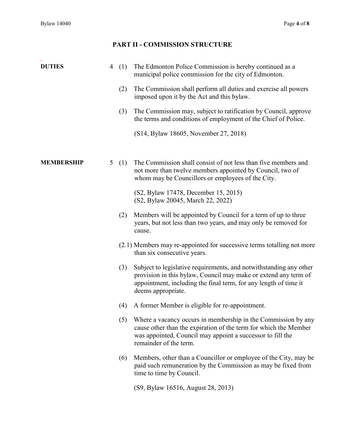## **PART II - COMMISSION STRUCTURE**

| <b>DUTIES</b>     | 4 | (1) | The Edmonton Police Commission is hereby continued as a<br>municipal police commission for the city of Edmonton.                                                                                                                |  |
|-------------------|---|-----|---------------------------------------------------------------------------------------------------------------------------------------------------------------------------------------------------------------------------------|--|
|                   |   | (2) | The Commission shall perform all duties and exercise all powers<br>imposed upon it by the Act and this bylaw.                                                                                                                   |  |
|                   |   | (3) | The Commission may, subject to ratification by Council, approve<br>the terms and conditions of employment of the Chief of Police.                                                                                               |  |
|                   |   |     | (S14, Bylaw 18605, November 27, 2018)                                                                                                                                                                                           |  |
| <b>MEMBERSHIP</b> | 5 | (1) | The Commission shall consist of not less than five members and<br>not more than twelve members appointed by Council, two of<br>whom may be Councillors or employees of the City.                                                |  |
|                   |   |     | (S2, Bylaw 17478, December 15, 2015)<br>(S2, Bylaw 20045, March 22, 2022)                                                                                                                                                       |  |
|                   |   | (2) | Members will be appointed by Council for a term of up to three<br>years, but not less than two years, and may only be removed for<br>cause.                                                                                     |  |
|                   |   |     | (2.1) Members may re-appointed for successive terms totalling not more<br>than six consecutive years.                                                                                                                           |  |
|                   |   | (3) | Subject to legislative requirements, and notwithstanding any other<br>provision in this bylaw, Council may make or extend any term of<br>appointment, including the final term, for any length of time it<br>deems appropriate. |  |
|                   |   | (4) | A former Member is eligible for re-appointment.                                                                                                                                                                                 |  |
|                   |   | (5) | Where a vacancy occurs in membership in the Commission by any<br>cause other than the expiration of the term for which the Member<br>was appointed, Council may appoint a successor to fill the<br>remainder of the term.       |  |
|                   |   | (6) | Members, other than a Councillor or employee of the City, may be<br>paid such remuneration by the Commission as may be fixed from<br>time to time by Council.                                                                   |  |
|                   |   |     | (S9, Bylaw 16516, August 28, 2013)                                                                                                                                                                                              |  |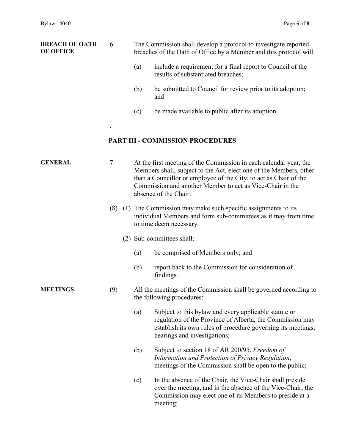| <b>BREACH OF OATH</b><br><b>OF OFFICE</b> | 6   | The Commission shall develop a protocol to investigate reported<br>breaches of the Oath of Office by a Member and this protocol will: |                                                                                                                                                                                                                                                                                                    |  |  |
|-------------------------------------------|-----|---------------------------------------------------------------------------------------------------------------------------------------|----------------------------------------------------------------------------------------------------------------------------------------------------------------------------------------------------------------------------------------------------------------------------------------------------|--|--|
|                                           |     | (a)                                                                                                                                   | include a requirement for a final report to Council of the<br>results of substantiated breaches;                                                                                                                                                                                                   |  |  |
|                                           |     | (b)                                                                                                                                   | be submitted to Council for review prior to its adoption;<br>and                                                                                                                                                                                                                                   |  |  |
|                                           |     | (c)                                                                                                                                   | be made available to public after its adoption.                                                                                                                                                                                                                                                    |  |  |
|                                           |     |                                                                                                                                       | <b>PART III - COMMISSION PROCEDURES</b>                                                                                                                                                                                                                                                            |  |  |
| <b>GENERAL</b>                            | 7   |                                                                                                                                       | At the first meeting of the Commission in each calendar year, the<br>Members shall, subject to the Act, elect one of the Members, other<br>than a Councillor or employee of the City, to act as Chair of the<br>Commission and another Member to act as Vice-Chair in the<br>absence of the Chair. |  |  |
|                                           | (8) |                                                                                                                                       | (1) The Commission may make such specific assignments to its<br>individual Members and form sub-committees as it may from time<br>to time deem necessary.                                                                                                                                          |  |  |
|                                           |     |                                                                                                                                       | (2) Sub-committees shall:                                                                                                                                                                                                                                                                          |  |  |
|                                           |     | (a)                                                                                                                                   | be comprised of Members only; and                                                                                                                                                                                                                                                                  |  |  |
|                                           |     | (b)                                                                                                                                   | report back to the Commission for consideration of<br>findings.                                                                                                                                                                                                                                    |  |  |
| <b>MEETINGS</b>                           | (9) |                                                                                                                                       | All the meetings of the Commission shall be governed according to<br>the following procedures:                                                                                                                                                                                                     |  |  |
|                                           |     | (a)                                                                                                                                   | Subject to this bylaw and every applicable statute or<br>regulation of the Province of Alberta, the Commission may<br>establish its own rules of procedure governing its meetings,<br>hearings and investigations;                                                                                 |  |  |
|                                           |     | (b)                                                                                                                                   | Subject to section 18 of AR 200/95, Freedom of<br>Information and Protection of Privacy Regulation,<br>meetings of the Commission shall be open to the public;                                                                                                                                     |  |  |
|                                           |     | (c)                                                                                                                                   | In the absence of the Chair, the Vice-Chair shall preside<br>over the meeting, and in the absence of the Vice-Chair, the<br>Commission may elect one of its Members to preside at a<br>meeting;                                                                                                    |  |  |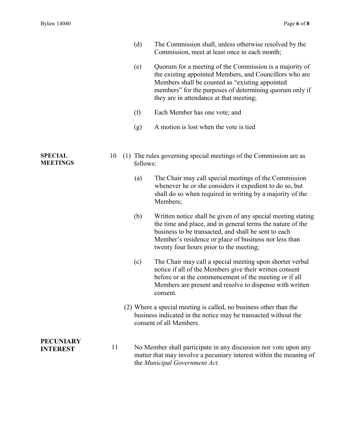|                                     |    | (d)      | The Commission shall, unless otherwise resolved by the<br>Commission, meet at least once in each month;                                                                                                                                                                                |
|-------------------------------------|----|----------|----------------------------------------------------------------------------------------------------------------------------------------------------------------------------------------------------------------------------------------------------------------------------------------|
|                                     |    | (e)      | Quorum for a meeting of the Commission is a majority of<br>the existing appointed Members, and Councillors who are<br>Members shall be counted as "existing appointed<br>members" for the purposes of determining quorum only if<br>they are in attendance at that meeting;            |
|                                     |    | (f)      | Each Member has one vote; and                                                                                                                                                                                                                                                          |
|                                     |    | (g)      | A motion is lost when the vote is tied                                                                                                                                                                                                                                                 |
| <b>SPECIAL</b><br><b>MEETINGS</b>   | 10 | follows: | (1) The rules governing special meetings of the Commission are as                                                                                                                                                                                                                      |
|                                     |    | (a)      | The Chair may call special meetings of the Commission<br>whenever he or she considers it expedient to do so, but<br>shall do so when required in writing by a majority of the<br>Members;                                                                                              |
|                                     |    | (b)      | Written notice shall be given of any special meeting stating<br>the time and place, and in general terms the nature of the<br>business to be transacted, and shall be sent to each<br>Member's residence or place of business not less than<br>twenty four hours prior to the meeting; |
|                                     |    | (c)      | The Chair may call a special meeting upon shorter verbal<br>notice if all of the Members give their written consent<br>before or at the commencement of the meeting or if all<br>Members are present and resolve to dispense with written<br>consent.                                  |
|                                     |    |          | (2) Where a special meeting is called, no business other than the<br>business indicated in the notice may be transacted without the<br>consent of all Members.                                                                                                                         |
| <b>PECUNIARY</b><br><b>INTEREST</b> | 11 |          | No Member shall participate in any discussion nor vote upon any<br>matter that may involve a pecuniary interest within the meaning of<br>the Municipal Government Act.                                                                                                                 |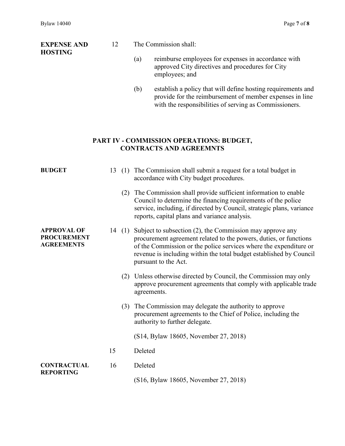**EXPENSE AND HOSTING**

## 12 The Commission shall:

- (a) reimburse employees for expenses in accordance with approved City directives and procedures for City employees; and
- (b) establish a policy that will define hosting requirements and provide for the reimbursement of member expenses in line with the responsibilities of serving as Commissioners.

## **PART IV - COMMISSION OPERATIONS: BUDGET, CONTRACTS AND AGREEMNTS**

| <b>BUDGET</b>                                                 |    | 13 (1) The Commission shall submit a request for a total budget in<br>accordance with City budget procedures.                                                                                                                                                                                             |
|---------------------------------------------------------------|----|-----------------------------------------------------------------------------------------------------------------------------------------------------------------------------------------------------------------------------------------------------------------------------------------------------------|
|                                                               |    | (2) The Commission shall provide sufficient information to enable<br>Council to determine the financing requirements of the police<br>service, including, if directed by Council, strategic plans, variance<br>reports, capital plans and variance analysis.                                              |
| <b>APPROVAL OF</b><br><b>PROCUREMENT</b><br><b>AGREEMENTS</b> |    | 14 (1) Subject to subsection (2), the Commission may approve any<br>procurement agreement related to the powers, duties, or functions<br>of the Commission or the police services where the expenditure or<br>revenue is including within the total budget established by Council<br>pursuant to the Act. |
|                                                               |    | (2) Unless otherwise directed by Council, the Commission may only<br>approve procurement agreements that comply with applicable trade<br>agreements.                                                                                                                                                      |
|                                                               |    | (3) The Commission may delegate the authority to approve<br>procurement agreements to the Chief of Police, including the<br>authority to further delegate.                                                                                                                                                |
|                                                               |    | (S14, Bylaw 18605, November 27, 2018)                                                                                                                                                                                                                                                                     |
|                                                               | 15 | Deleted                                                                                                                                                                                                                                                                                                   |
| <b>CONTRACTUAL</b><br><b>REPORTING</b>                        | 16 | Deleted                                                                                                                                                                                                                                                                                                   |
|                                                               |    | (S16, Bylaw 18605, November 27, 2018)                                                                                                                                                                                                                                                                     |